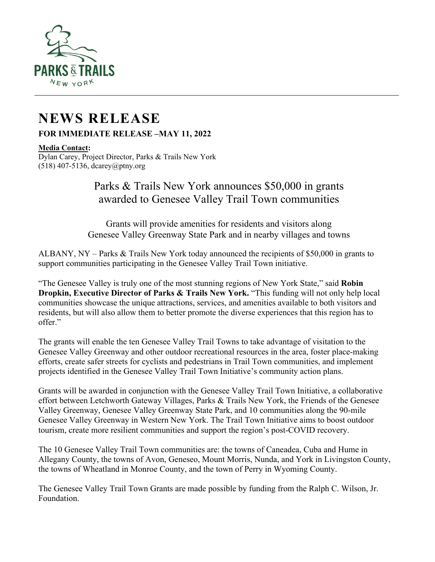

## **NEWS RELEASE**

**FOR IMMEDIATE RELEASE –MAY 11, 2022**

## **Media Contact:**

Dylan Carey, Project Director, Parks & Trails New York (518) 407-5136, dcarey@ptny.org

## Parks & Trails New York announces \$50,000 in grants awarded to Genesee Valley Trail Town communities

Grants will provide amenities for residents and visitors along Genesee Valley Greenway State Park and in nearby villages and towns

ALBANY, NY – Parks & Trails New York today announced the recipients of \$50,000 in grants to support communities participating in the Genesee Valley Trail Town initiative.

"The Genesee Valley is truly one of the most stunning regions of New York State," said **Robin Dropkin, Executive Director of Parks & Trails New York.** "This funding will not only help local communities showcase the unique attractions, services, and amenities available to both visitors and residents, but will also allow them to better promote the diverse experiences that this region has to offer."

The grants will enable the ten Genesee Valley Trail Towns to take advantage of visitation to the Genesee Valley Greenway and other outdoor recreational resources in the area, foster place-making efforts, create safer streets for cyclists and pedestrians in Trail Town communities, and implement projects identified in the Genesee Valley Trail Town Initiative's community action plans.

Grants will be awarded in conjunction with the Genesee Valley Trail Town Initiative, a collaborative effort between Letchworth Gateway Villages, Parks & Trails New York, the Friends of the Genesee Valley Greenway, Genesee Valley Greenway State Park, and 10 communities along the 90-mile Genesee Valley Greenway in Western New York. The Trail Town Initiative aims to boost outdoor tourism, create more resilient communities and support the region's post-COVID recovery.

The 10 Genesee Valley Trail Town communities are: the towns of Caneadea, Cuba and Hume in Allegany County, the towns of Avon, Geneseo, Mount Morris, Nunda, and York in Livingston County, the towns of Wheatland in Monroe County, and the town of Perry in Wyoming County.

The Genesee Valley Trail Town Grants are made possible by funding from the Ralph C. Wilson, Jr. Foundation.